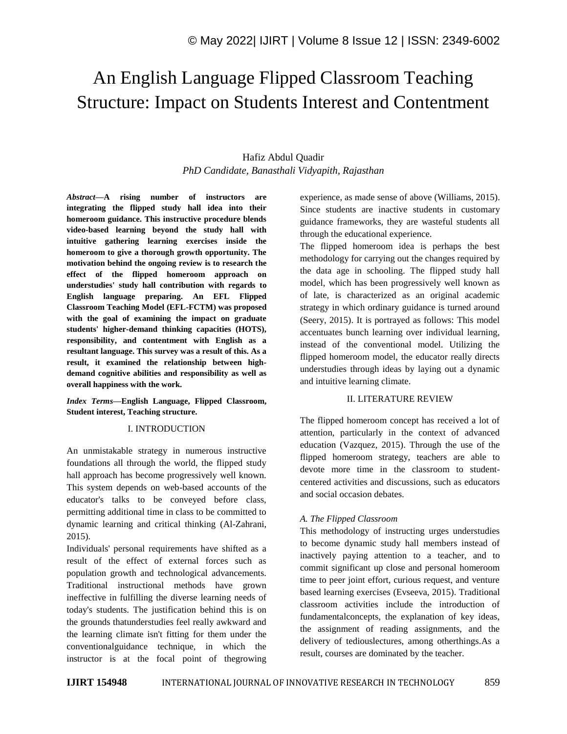# An English Language Flipped Classroom Teaching Structure: Impact on Students Interest and Contentment

# Hafiz Abdul Quadir *PhD Candidate, Banasthali Vidyapith, Rajasthan*

*Abstract—***A rising number of instructors are integrating the flipped study hall idea into their homeroom guidance. This instructive procedure blends video-based learning beyond the study hall with intuitive gathering learning exercises inside the homeroom to give a thorough growth opportunity. The motivation behind the ongoing review is to research the effect of the flipped homeroom approach on understudies' study hall contribution with regards to English language preparing. An EFL Flipped Classroom Teaching Model (EFL-FCTM) was proposed with the goal of examining the impact on graduate students' higher-demand thinking capacities (HOTS), responsibility, and contentment with English as a resultant language. This survey was a result of this. As a result, it examined the relationship between highdemand cognitive abilities and responsibility as well as overall happiness with the work.** 

*Index Terms—***English Language, Flipped Classroom, Student interest, Teaching structure.**

#### I. INTRODUCTION

An unmistakable strategy in numerous instructive foundations all through the world, the flipped study hall approach has become progressively well known. This system depends on web-based accounts of the educator's talks to be conveyed before class, permitting additional time in class to be committed to dynamic learning and critical thinking (Al-Zahrani, 2015).

Individuals' personal requirements have shifted as a result of the effect of external forces such as population growth and technological advancements. Traditional instructional methods have grown ineffective in fulfilling the diverse learning needs of today's students. The justification behind this is on the grounds thatunderstudies feel really awkward and the learning climate isn't fitting for them under the conventionalguidance technique, in which the instructor is at the focal point of thegrowing experience, as made sense of above (Williams, 2015). Since students are inactive students in customary guidance frameworks, they are wasteful students all through the educational experience.

The flipped homeroom idea is perhaps the best methodology for carrying out the changes required by the data age in schooling. The flipped study hall model, which has been progressively well known as of late, is characterized as an original academic strategy in which ordinary guidance is turned around (Seery, 2015). It is portrayed as follows: This model accentuates bunch learning over individual learning, instead of the conventional model. Utilizing the flipped homeroom model, the educator really directs understudies through ideas by laying out a dynamic and intuitive learning climate.

#### II. LITERATURE REVIEW

The flipped homeroom concept has received a lot of attention, particularly in the context of advanced education (Vazquez, 2015). Through the use of the flipped homeroom strategy, teachers are able to devote more time in the classroom to studentcentered activities and discussions, such as educators and social occasion debates.

# *A. The Flipped Classroom*

This methodology of instructing urges understudies to become dynamic study hall members instead of inactively paying attention to a teacher, and to commit significant up close and personal homeroom time to peer joint effort, curious request, and venture based learning exercises (Evseeva, 2015). Traditional classroom activities include the introduction of fundamentalconcepts, the explanation of key ideas, the assignment of reading assignments, and the delivery of tediouslectures, among otherthings.As a result, courses are dominated by the teacher.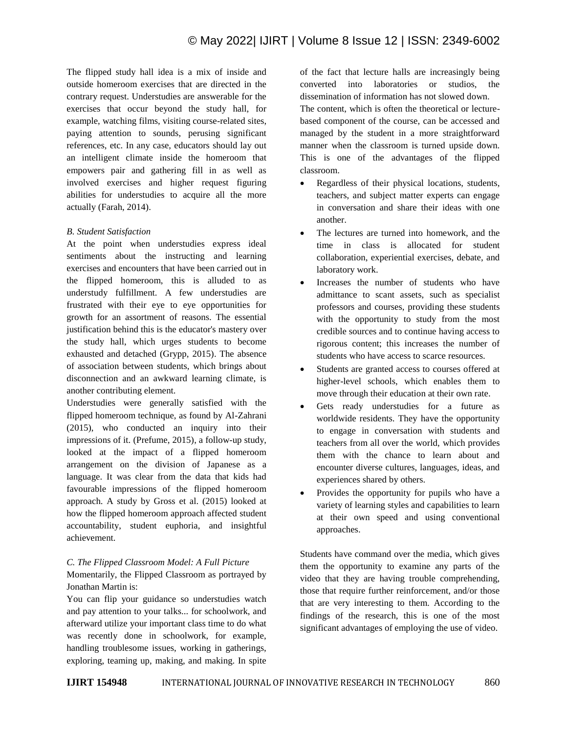The flipped study hall idea is a mix of inside and outside homeroom exercises that are directed in the contrary request. Understudies are answerable for the exercises that occur beyond the study hall, for example, watching films, visiting course-related sites, paying attention to sounds, perusing significant references, etc. In any case, educators should lay out an intelligent climate inside the homeroom that empowers pair and gathering fill in as well as involved exercises and higher request figuring abilities for understudies to acquire all the more actually (Farah, 2014).

#### *B. Student Satisfaction*

At the point when understudies express ideal sentiments about the instructing and learning exercises and encounters that have been carried out in the flipped homeroom, this is alluded to as understudy fulfillment. A few understudies are frustrated with their eye to eye opportunities for growth for an assortment of reasons. The essential justification behind this is the educator's mastery over the study hall, which urges students to become exhausted and detached (Grypp, 2015). The absence of association between students, which brings about disconnection and an awkward learning climate, is another contributing element.

Understudies were generally satisfied with the flipped homeroom technique, as found by Al-Zahrani (2015), who conducted an inquiry into their impressions of it. (Prefume, 2015), a follow-up study, looked at the impact of a flipped homeroom arrangement on the division of Japanese as a language. It was clear from the data that kids had favourable impressions of the flipped homeroom approach. A study by Gross et al. (2015) looked at how the flipped homeroom approach affected student accountability, student euphoria, and insightful achievement.

#### *C. The Flipped Classroom Model: A Full Picture*

Momentarily, the Flipped Classroom as portrayed by Jonathan Martin is:

You can flip your guidance so understudies watch and pay attention to your talks... for schoolwork, and afterward utilize your important class time to do what was recently done in schoolwork, for example, handling troublesome issues, working in gatherings, exploring, teaming up, making, and making. In spite

of the fact that lecture halls are increasingly being converted into laboratories or studios, the dissemination of information has not slowed down. The content, which is often the theoretical or lecturebased component of the course, can be accessed and managed by the student in a more straightforward manner when the classroom is turned upside down. This is one of the advantages of the flipped classroom.

- Regardless of their physical locations, students, teachers, and subject matter experts can engage in conversation and share their ideas with one another.
- The lectures are turned into homework, and the time in class is allocated for student collaboration, experiential exercises, debate, and laboratory work.
- Increases the number of students who have admittance to scant assets, such as specialist professors and courses, providing these students with the opportunity to study from the most credible sources and to continue having access to rigorous content; this increases the number of students who have access to scarce resources.
- Students are granted access to courses offered at higher-level schools, which enables them to move through their education at their own rate.
- Gets ready understudies for a future as worldwide residents. They have the opportunity to engage in conversation with students and teachers from all over the world, which provides them with the chance to learn about and encounter diverse cultures, languages, ideas, and experiences shared by others.
- Provides the opportunity for pupils who have a variety of learning styles and capabilities to learn at their own speed and using conventional approaches.

Students have command over the media, which gives them the opportunity to examine any parts of the video that they are having trouble comprehending, those that require further reinforcement, and/or those that are very interesting to them. According to the findings of the research, this is one of the most significant advantages of employing the use of video.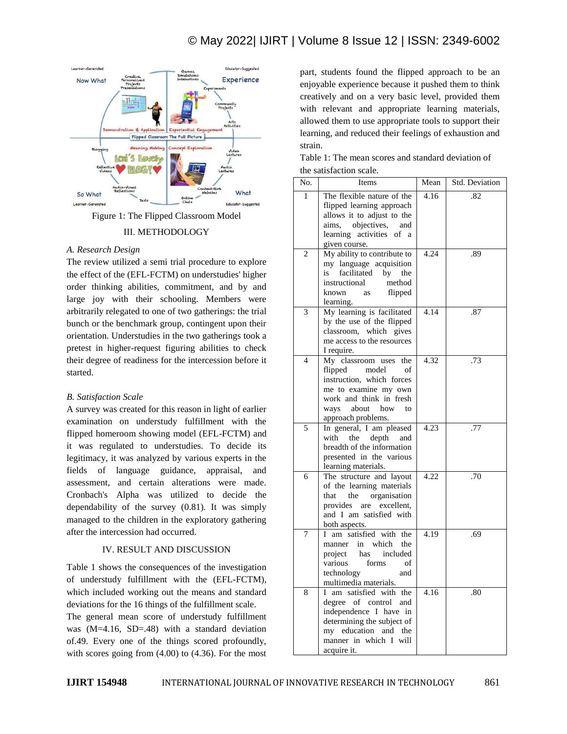

Figure 1: The Flipped Classroom Model

### III. METHODOLOGY

### *A. Research Design*

The review utilized a semi trial procedure to explore the effect of the (EFL-FCTM) on understudies' higher order thinking abilities, commitment, and by and large joy with their schooling. Members were arbitrarily relegated to one of two gatherings: the trial bunch or the benchmark group, contingent upon their orientation. Understudies in the two gatherings took a pretest in higher-request figuring abilities to check their degree of readiness for the intercession before it started.

#### *B. Satisfaction Scale*

A survey was created for this reason in light of earlier examination on understudy fulfillment with the flipped homeroom showing model (EFL-FCTM) and it was regulated to understudies. To decide its legitimacy, it was analyzed by various experts in the fields of language guidance, appraisal, and assessment, and certain alterations were made. Cronbach's Alpha was utilized to decide the dependability of the survey (0.81). It was simply managed to the children in the exploratory gathering after the intercession had occurred.

# IV. RESULT AND DISCUSSION

Table 1 shows the consequences of the investigation of understudy fulfillment with the (EFL-FCTM), which included working out the means and standard deviations for the 16 things of the fulfillment scale. The general mean score of understudy fulfillment

was (M=4.16, SD=.48) with a standard deviation of.49. Every one of the things scored profoundly, with scores going from (4.00) to (4.36). For the most

part, students found the flipped approach to be an enjoyable experience because it pushed them to think creatively and on a very basic level, provided them with relevant and appropriate learning materials, allowed them to use appropriate tools to support their learning, and reduced their feelings of exhaustion and strain.

| Table 1: The mean scores and standard deviation of |  |
|----------------------------------------------------|--|
| the satisfaction scale.                            |  |

| No.            | Items                                                                                                                                                                                    | Mean | Std. Deviation |
|----------------|------------------------------------------------------------------------------------------------------------------------------------------------------------------------------------------|------|----------------|
| 1              | The flexible nature of the<br>flipped learning approach<br>allows it to adjust to the<br>objectives,<br>aims.<br>and<br>learning activities<br>of a<br>given course.                     | 4.16 | .82            |
| $\overline{2}$ | My ability to contribute to<br>my language acquisition<br>facilitated<br>is<br>by<br>the<br>instructional<br>method<br>flipped<br>known<br>as<br>learning.                               | 4.24 | .89            |
| 3              | My learning is facilitated<br>by the use of the flipped<br>classroom, which gives<br>me access to the resources<br>I require.                                                            | 4.14 | .87            |
| $\overline{4}$ | My classroom uses<br>the<br>flipped<br>model<br>of<br>instruction, which forces<br>me to examine my own<br>work and think in fresh<br>about<br>how<br>ways<br>to<br>approach problems.   | 4.32 | .73            |
| 5              | In general, I am pleased<br>the<br>depth<br>with<br>and<br>breadth of the information<br>presented in the various<br>learning materials.                                                 | 4.23 | .77            |
| 6              | The structure and layout<br>of the learning materials<br>that<br>the<br>organisation<br>provides<br>are excellent,<br>and I am satisfied with<br>both aspects.                           | 4.22 | .70            |
| 7              | am satisfied with the<br>L<br>in<br>which<br>the<br>manner<br>has<br>included<br>project<br>various<br>forms<br>of<br>technology<br>and<br>multimedia materials.                         | 4.19 | .69            |
| 8              | am satisfied with the<br>L<br>degree of control<br>and<br>independence I have in<br>determining the subject of<br>education<br>my<br>and<br>the<br>manner in which I will<br>acquire it. | 4.16 | .80            |